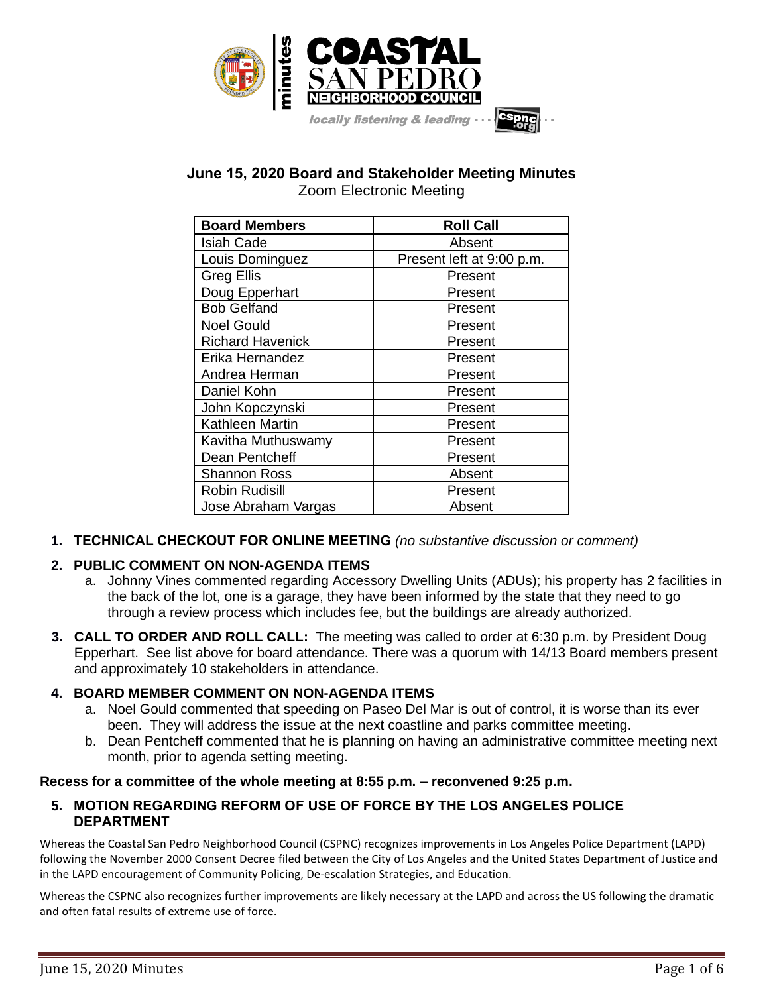

# **June 15, 2020 Board and Stakeholder Meeting Minutes** Zoom Electronic Meeting

**\_\_\_\_\_\_\_\_\_\_\_\_\_\_\_\_\_\_\_\_\_\_\_\_\_\_\_\_\_\_\_\_\_\_\_\_\_\_\_\_\_\_\_\_\_\_\_\_\_\_\_\_\_\_\_\_\_\_\_\_\_\_\_\_\_\_\_\_\_\_\_\_\_\_\_\_\_\_\_\_\_\_\_\_\_\_\_\_\_\_\_\_\_\_\_\_\_\_\_\_\_\_\_\_\_\_\_\_\_\_\_\_\_**

| <b>Board Members</b>    | <b>Roll Call</b>          |
|-------------------------|---------------------------|
| Isiah Cade              | Absent                    |
| Louis Dominguez         | Present left at 9:00 p.m. |
| <b>Greg Ellis</b>       | Present                   |
| Doug Epperhart          | Present                   |
| <b>Bob Gelfand</b>      | Present                   |
| <b>Noel Gould</b>       | Present                   |
| <b>Richard Havenick</b> | Present                   |
| Erika Hernandez         | Present                   |
| Andrea Herman           | Present                   |
| Daniel Kohn             | Present                   |
| John Kopczynski         | Present                   |
| <b>Kathleen Martin</b>  | Present                   |
| Kavitha Muthuswamy      | Present                   |
| Dean Pentcheff          | Present                   |
| Shannon Ross            | Absent                    |
| Robin Rudisill          | Present                   |
| Jose Abraham Vargas     | Absent                    |

**1. TECHNICAL CHECKOUT FOR ONLINE MEETING** *(no substantive discussion or comment)*

# **2. PUBLIC COMMENT ON NON-AGENDA ITEMS**

- a. Johnny Vines commented regarding Accessory Dwelling Units (ADUs); his property has 2 facilities in the back of the lot, one is a garage, they have been informed by the state that they need to go through a review process which includes fee, but the buildings are already authorized.
- **3. CALL TO ORDER AND ROLL CALL:** The meeting was called to order at 6:30 p.m. by President Doug Epperhart. See list above for board attendance. There was a quorum with 14/13 Board members present and approximately 10 stakeholders in attendance.

### **4. BOARD MEMBER COMMENT ON NON-AGENDA ITEMS**

- a. Noel Gould commented that speeding on Paseo Del Mar is out of control, it is worse than its ever been. They will address the issue at the next coastline and parks committee meeting.
- b. Dean Pentcheff commented that he is planning on having an administrative committee meeting next month, prior to agenda setting meeting.

### **Recess for a committee of the whole meeting at 8:55 p.m. – reconvened 9:25 p.m.**

### **5. MOTION REGARDING REFORM OF USE OF FORCE BY THE LOS ANGELES POLICE DEPARTMENT**

Whereas the Coastal San Pedro Neighborhood Council (CSPNC) recognizes improvements in Los Angeles Police Department (LAPD) following the November 2000 Consent Decree filed between the City of Los Angeles and the United States Department of Justice and in the LAPD encouragement of Community Policing, De-escalation Strategies, and Education.

Whereas the CSPNC also recognizes further improvements are likely necessary at the LAPD and across the US following the dramatic and often fatal results of extreme use of force.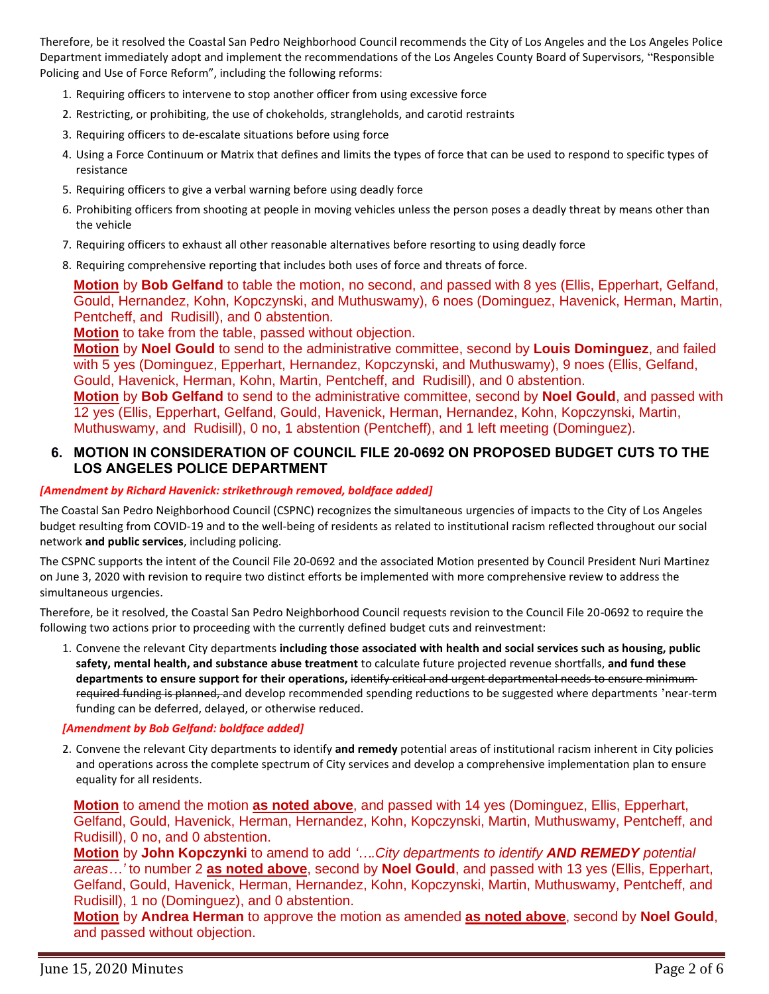Therefore, be it resolved the Coastal San Pedro Neighborhood Council recommends the City of Los Angeles and the Los Angeles Police Department immediately adopt and implement the recommendations of the Los Angeles County Board of Supervisors, "Responsible Policing and Use of Force Reform", including the following reforms:

- 1. Requiring officers to intervene to stop another officer from using excessive force
- 2. Restricting, or prohibiting, the use of chokeholds, strangleholds, and carotid restraints
- 3. Requiring officers to de-escalate situations before using force
- 4. Using a Force Continuum or Matrix that defines and limits the types of force that can be used to respond to specific types of resistance
- 5. Requiring officers to give a verbal warning before using deadly force
- 6. Prohibiting officers from shooting at people in moving vehicles unless the person poses a deadly threat by means other than the vehicle
- 7. Requiring officers to exhaust all other reasonable alternatives before resorting to using deadly force

8. Requiring comprehensive reporting that includes both uses of force and threats of force.

**Motion** by **Bob Gelfand** to table the motion, no second, and passed with 8 yes (Ellis, Epperhart, Gelfand, Gould, Hernandez, Kohn, Kopczynski, and Muthuswamy), 6 noes (Dominguez, Havenick, Herman, Martin, Pentcheff, and Rudisill), and 0 abstention.

**Motion** to take from the table, passed without objection.

**Motion** by **Noel Gould** to send to the administrative committee, second by **Louis Dominguez**, and failed with 5 yes (Dominguez, Epperhart, Hernandez, Kopczynski, and Muthuswamy), 9 noes (Ellis, Gelfand, Gould, Havenick, Herman, Kohn, Martin, Pentcheff, and Rudisill), and 0 abstention.

**Motion** by **Bob Gelfand** to send to the administrative committee, second by **Noel Gould**, and passed with 12 yes (Ellis, Epperhart, Gelfand, Gould, Havenick, Herman, Hernandez, Kohn, Kopczynski, Martin, Muthuswamy, and Rudisill), 0 no, 1 abstention (Pentcheff), and 1 left meeting (Dominguez).

### **6. MOTION IN CONSIDERATION OF COUNCIL FILE 20-0692 ON PROPOSED BUDGET CUTS TO THE LOS ANGELES POLICE DEPARTMENT**

#### *[Amendment by Richard Havenick: strikethrough removed, boldface added]*

The Coastal San Pedro Neighborhood Council (CSPNC) recognizes the simultaneous urgencies of impacts to the City of Los Angeles budget resulting from COVID-19 and to the well-being of residents as related to institutional racism reflected throughout our social network **and public services**, including policing.

The CSPNC supports the intent of the Council File 20-0692 and the associated Motion presented by Council President Nuri Martinez on June 3, 2020 with revision to require two distinct efforts be implemented with more comprehensive review to address the simultaneous urgencies.

Therefore, be it resolved, the Coastal San Pedro Neighborhood Council requests revision to the Council File 20-0692 to require the following two actions prior to proceeding with the currently defined budget cuts and reinvestment:

1. Convene the relevant City departments **including those associated with health and social services such as housing, public safety, mental health, and substance abuse treatment** to calculate future projected revenue shortfalls, **and fund these departments to ensure support for their operations,** identify critical and urgent departmental needs to ensure minimum required funding is planned, and develop recommended spending reductions to be suggested where departments 'near-term funding can be deferred, delayed, or otherwise reduced.

#### *[Amendment by Bob Gelfand: boldface added]*

2. Convene the relevant City departments to identify **and remedy** potential areas of institutional racism inherent in City policies and operations across the complete spectrum of City services and develop a comprehensive implementation plan to ensure equality for all residents.

**Motion** to amend the motion **as noted above**, and passed with 14 yes (Dominguez, Ellis, Epperhart, Gelfand, Gould, Havenick, Herman, Hernandez, Kohn, Kopczynski, Martin, Muthuswamy, Pentcheff, and Rudisill), 0 no, and 0 abstention.

**Motion** by **John Kopczynki** to amend to add *'….City departments to identify AND REMEDY potential areas…'* to number 2 **as noted above**, second by **Noel Gould**, and passed with 13 yes (Ellis, Epperhart, Gelfand, Gould, Havenick, Herman, Hernandez, Kohn, Kopczynski, Martin, Muthuswamy, Pentcheff, and Rudisill), 1 no (Dominguez), and 0 abstention.

**Motion** by **Andrea Herman** to approve the motion as amended **as noted above**, second by **Noel Gould**, and passed without objection.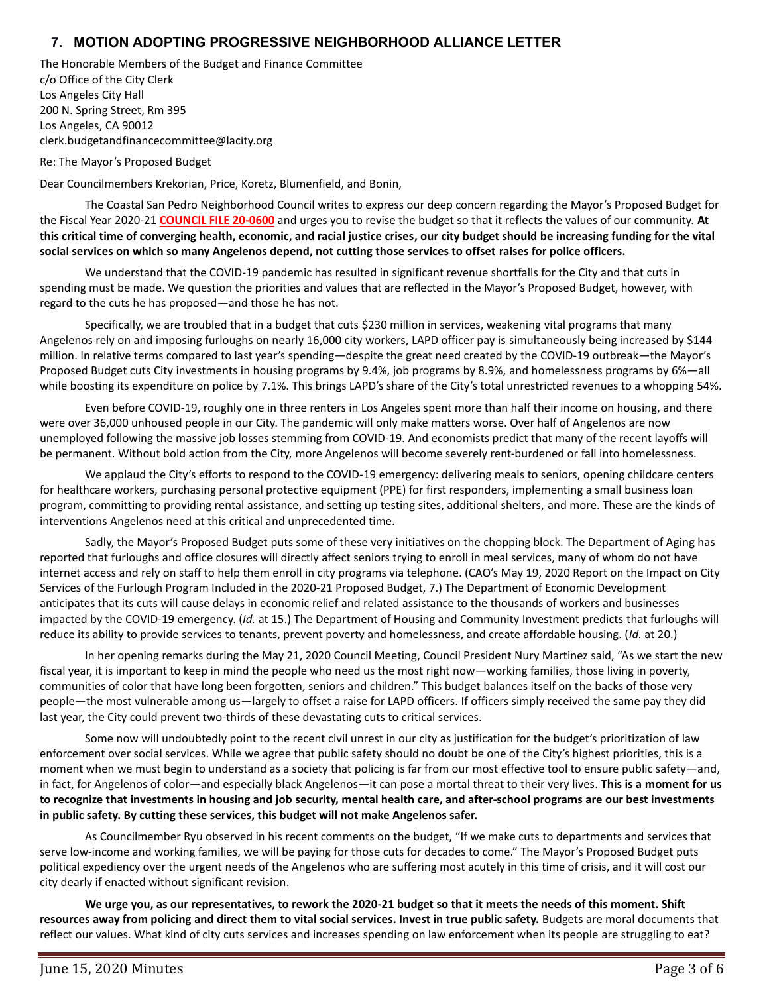# **7. MOTION ADOPTING PROGRESSIVE NEIGHBORHOOD ALLIANCE LETTER**

The Honorable Members of the Budget and Finance Committee c/o Office of the City Clerk Los Angeles City Hall 200 N. Spring Street, Rm 395 Los Angeles, CA 90012 clerk.budgetandfinancecommittee@lacity.org

Re: The Mayor's Proposed Budget

Dear Councilmembers Krekorian, Price, Koretz, Blumenfield, and Bonin,

The Coastal San Pedro Neighborhood Council writes to express our deep concern regarding the Mayor's Proposed Budget for the Fiscal Year 2020-21 **COUNCIL FILE 20-0600** and urges you to revise the budget so that it reflects the values of our community. **At this critical time of converging health, economic, and racial justice crises, our city budget should be increasing funding for the vital social services on which so many Angelenos depend, not cutting those services to offset raises for police officers.**

We understand that the COVID-19 pandemic has resulted in significant revenue shortfalls for the City and that cuts in spending must be made. We question the priorities and values that are reflected in the Mayor's Proposed Budget, however, with regard to the cuts he has proposed—and those he has not.

Specifically, we are troubled that in a budget that cuts \$230 million in services, weakening vital programs that many Angelenos rely on and imposing furloughs on nearly 16,000 city workers, LAPD officer pay is simultaneously being increased by \$144 million. In relative terms compared to last year's spending—despite the great need created by the COVID-19 outbreak—the Mayor's Proposed Budget cuts City investments in housing programs by 9.4%, job programs by 8.9%, and homelessness programs by 6%—all while boosting its expenditure on police by 7.1%. This brings LAPD's share of the City's total unrestricted revenues to a whopping 54%.

Even before COVID-19, roughly one in three renters in Los Angeles spent more than half their income on housing, and there were over 36,000 unhoused people in our City. The pandemic will only make matters worse. Over half of Angelenos are now unemployed following the massive job losses stemming from COVID-19. And economists predict that many of the recent layoffs will be permanent. Without bold action from the City, more Angelenos will become severely rent-burdened or fall into homelessness.

We applaud the City's efforts to respond to the COVID-19 emergency: delivering meals to seniors, opening childcare centers for healthcare workers, purchasing personal protective equipment (PPE) for first responders, implementing a small business loan program, committing to providing rental assistance, and setting up testing sites, additional shelters, and more. These are the kinds of interventions Angelenos need at this critical and unprecedented time.

Sadly, the Mayor's Proposed Budget puts some of these very initiatives on the chopping block. The Department of Aging has reported that furloughs and office closures will directly affect seniors trying to enroll in meal services, many of whom do not have internet access and rely on staff to help them enroll in city programs via telephone. (CAO's May 19, 2020 Report on the Impact on City Services of the Furlough Program Included in the 2020-21 Proposed Budget, 7.) The Department of Economic Development anticipates that its cuts will cause delays in economic relief and related assistance to the thousands of workers and businesses impacted by the COVID-19 emergency. (*Id.* at 15.) The Department of Housing and Community Investment predicts that furloughs will reduce its ability to provide services to tenants, prevent poverty and homelessness, and create affordable housing. (*Id.* at 20.)

In her opening remarks during the May 21, 2020 Council Meeting, Council President Nury Martinez said, "As we start the new fiscal year, it is important to keep in mind the people who need us the most right now—working families, those living in poverty, communities of color that have long been forgotten, seniors and children." This budget balances itself on the backs of those very people—the most vulnerable among us—largely to offset a raise for LAPD officers. If officers simply received the same pay they did last year, the City could prevent two-thirds of these devastating cuts to critical services.

Some now will undoubtedly point to the recent civil unrest in our city as justification for the budget's prioritization of law enforcement over social services. While we agree that public safety should no doubt be one of the City's highest priorities, this is a moment when we must begin to understand as a society that policing is far from our most effective tool to ensure public safety—and, in fact, for Angelenos of color—and especially black Angelenos—it can pose a mortal threat to their very lives. **This is a moment for us to recognize that investments in housing and job security, mental health care, and after-school programs are our best investments in public safety. By cutting these services, this budget will not make Angelenos safer.**

As Councilmember Ryu observed in his recent comments on the budget, "If we make cuts to departments and services that serve low-income and working families, we will be paying for those cuts for decades to come." The Mayor's Proposed Budget puts political expediency over the urgent needs of the Angelenos who are suffering most acutely in this time of crisis, and it will cost our city dearly if enacted without significant revision.

**We urge you, as our representatives, to rework the 2020-21 budget so that it meets the needs of this moment. Shift resources away from policing and direct them to vital social services. Invest in true public safety.** Budgets are moral documents that reflect our values. What kind of city cuts services and increases spending on law enforcement when its people are struggling to eat?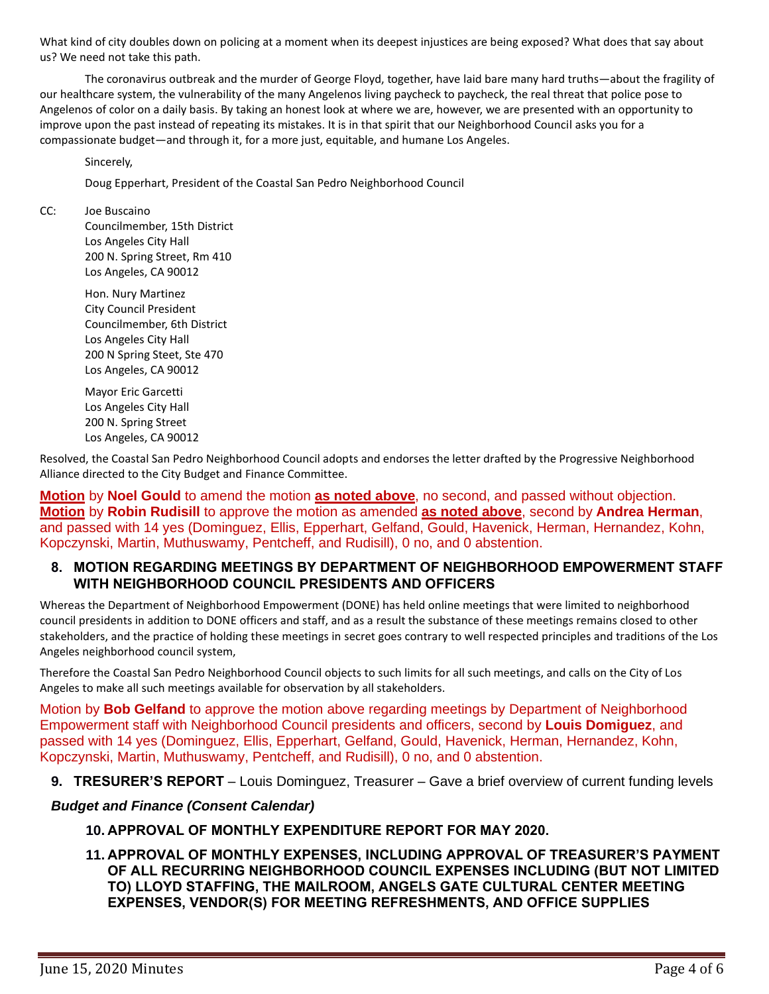What kind of city doubles down on policing at a moment when its deepest injustices are being exposed? What does that say about us? We need not take this path.

The coronavirus outbreak and the murder of George Floyd, together, have laid bare many hard truths—about the fragility of our healthcare system, the vulnerability of the many Angelenos living paycheck to paycheck, the real threat that police pose to Angelenos of color on a daily basis. By taking an honest look at where we are, however, we are presented with an opportunity to improve upon the past instead of repeating its mistakes. It is in that spirit that our Neighborhood Council asks you for a compassionate budget—and through it, for a more just, equitable, and humane Los Angeles.

Sincerely,

Doug Epperhart, President of the Coastal San Pedro Neighborhood Council

CC: Joe Buscaino

Councilmember, 15th District Los Angeles City Hall 200 N. Spring Street, Rm 410 Los Angeles, CA 90012

Hon. Nury Martinez City Council President Councilmember, 6th District Los Angeles City Hall 200 N Spring Steet, Ste 470 Los Angeles, CA 90012

Mayor Eric Garcetti Los Angeles City Hall 200 N. Spring Street Los Angeles, CA 90012

Resolved, the Coastal San Pedro Neighborhood Council adopts and endorses the letter drafted by the Progressive Neighborhood Alliance directed to the City Budget and Finance Committee.

**Motion** by **Noel Gould** to amend the motion **as noted above**, no second, and passed without objection. **Motion** by **Robin Rudisill** to approve the motion as amended **as noted above**, second by **Andrea Herman**, and passed with 14 yes (Dominguez, Ellis, Epperhart, Gelfand, Gould, Havenick, Herman, Hernandez, Kohn, Kopczynski, Martin, Muthuswamy, Pentcheff, and Rudisill), 0 no, and 0 abstention.

### **8. MOTION REGARDING MEETINGS BY DEPARTMENT OF NEIGHBORHOOD EMPOWERMENT STAFF WITH NEIGHBORHOOD COUNCIL PRESIDENTS AND OFFICERS**

Whereas the Department of Neighborhood Empowerment (DONE) has held online meetings that were limited to neighborhood council presidents in addition to DONE officers and staff, and as a result the substance of these meetings remains closed to other stakeholders, and the practice of holding these meetings in secret goes contrary to well respected principles and traditions of the Los Angeles neighborhood council system,

Therefore the Coastal San Pedro Neighborhood Council objects to such limits for all such meetings, and calls on the City of Los Angeles to make all such meetings available for observation by all stakeholders.

Motion by **Bob Gelfand** to approve the motion above regarding meetings by Department of Neighborhood Empowerment staff with Neighborhood Council presidents and officers, second by **Louis Domiguez**, and passed with 14 yes (Dominguez, Ellis, Epperhart, Gelfand, Gould, Havenick, Herman, Hernandez, Kohn, Kopczynski, Martin, Muthuswamy, Pentcheff, and Rudisill), 0 no, and 0 abstention.

**9. TRESURER'S REPORT** – Louis Dominguez, Treasurer – Gave a brief overview of current funding levels

#### *Budget and Finance (Consent Calendar)*

- **10. APPROVAL OF MONTHLY EXPENDITURE REPORT FOR MAY 2020.**
- **11. APPROVAL OF MONTHLY EXPENSES, INCLUDING APPROVAL OF TREASURER'S PAYMENT OF ALL RECURRING NEIGHBORHOOD COUNCIL EXPENSES INCLUDING (BUT NOT LIMITED TO) LLOYD STAFFING, THE MAILROOM, ANGELS GATE CULTURAL CENTER MEETING EXPENSES, VENDOR(S) FOR MEETING REFRESHMENTS, AND OFFICE SUPPLIES**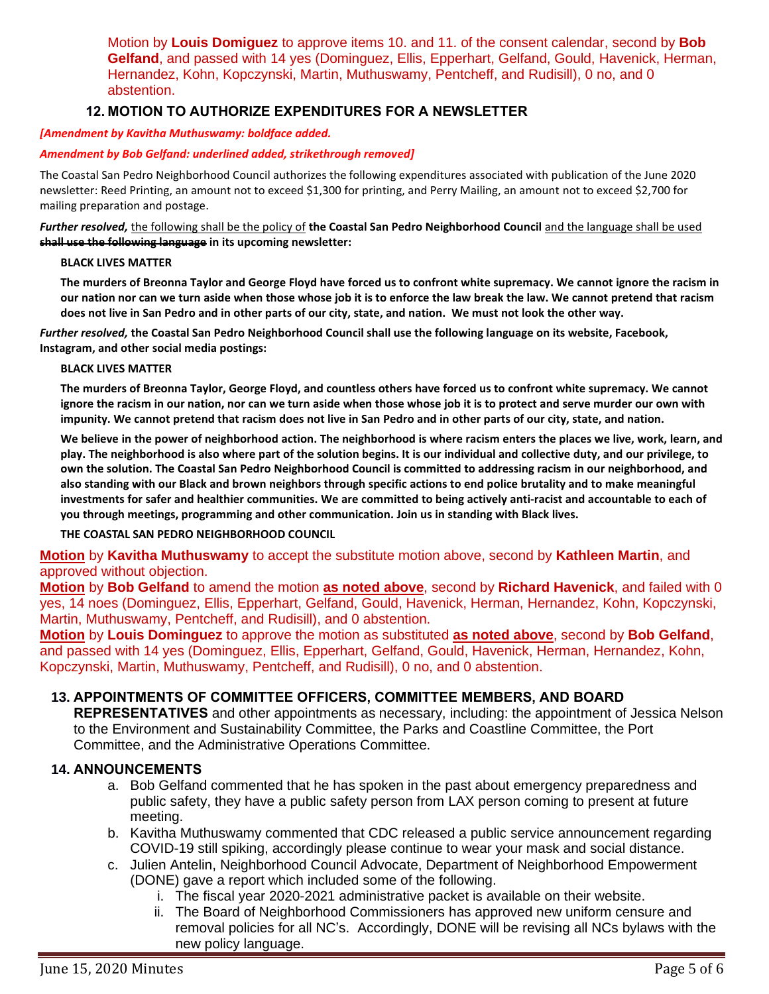Motion by **Louis Domiguez** to approve items 10. and 11. of the consent calendar, second by **Bob Gelfand**, and passed with 14 yes (Dominguez, Ellis, Epperhart, Gelfand, Gould, Havenick, Herman, Hernandez, Kohn, Kopczynski, Martin, Muthuswamy, Pentcheff, and Rudisill), 0 no, and 0 abstention.

# **12. MOTION TO AUTHORIZE EXPENDITURES FOR A NEWSLETTER**

## *[Amendment by Kavitha Muthuswamy: boldface added.*

## *Amendment by Bob Gelfand: underlined added, strikethrough removed]*

The Coastal San Pedro Neighborhood Council authorizes the following expenditures associated with publication of the June 2020 newsletter: Reed Printing, an amount not to exceed \$1,300 for printing, and Perry Mailing, an amount not to exceed \$2,700 for mailing preparation and postage.

*Further resolved,* the following shall be the policy of **the Coastal San Pedro Neighborhood Council** and the language shall be used **shall use the following language in its upcoming newsletter:**

# **BLACK LIVES MATTER**

The murders of Breonna Taylor and George Floyd have forced us to confront white supremacy. We cannot ignore the racism in our nation nor can we turn aside when those whose job it is to enforce the law break the law. We cannot pretend that racism does not live in San Pedro and in other parts of our city, state, and nation. We must not look the other way.

*Further resolved,* **the Coastal San Pedro Neighborhood Council shall use the following language on its website, Facebook, Instagram, and other social media postings:**

#### **BLACK LIVES MATTER**

The murders of Breonna Taylor, George Floyd, and countless others have forced us to confront white supremacy. We cannot ignore the racism in our nation, nor can we turn aside when those whose job it is to protect and serve murder our own with impunity. We cannot pretend that racism does not live in San Pedro and in other parts of our city, state, and nation.

We believe in the power of neighborhood action. The neighborhood is where racism enters the places we live, work, learn, and play. The neighborhood is also where part of the solution begins. It is our individual and collective duty, and our privilege, to own the solution. The Coastal San Pedro Neighborhood Council is committed to addressing racism in our neighborhood, and also standing with our Black and brown neighbors through specific actions to end police brutality and to make meaningful investments for safer and healthier communities. We are committed to being actively anti-racist and accountable to each of **you through meetings, programming and other communication. Join us in standing with Black lives.**

#### **THE COASTAL SAN PEDRO NEIGHBORHOOD COUNCIL**

### **Motion** by **Kavitha Muthuswamy** to accept the substitute motion above, second by **Kathleen Martin**, and approved without objection.

**Motion** by **Bob Gelfand** to amend the motion **as noted above**, second by **Richard Havenick**, and failed with 0 yes, 14 noes (Dominguez, Ellis, Epperhart, Gelfand, Gould, Havenick, Herman, Hernandez, Kohn, Kopczynski, Martin, Muthuswamy, Pentcheff, and Rudisill), and 0 abstention.

**Motion** by **Louis Dominguez** to approve the motion as substituted **as noted above**, second by **Bob Gelfand**, and passed with 14 yes (Dominguez, Ellis, Epperhart, Gelfand, Gould, Havenick, Herman, Hernandez, Kohn, Kopczynski, Martin, Muthuswamy, Pentcheff, and Rudisill), 0 no, and 0 abstention.

# **13. APPOINTMENTS OF COMMITTEE OFFICERS, COMMITTEE MEMBERS, AND BOARD**

**REPRESENTATIVES** and other appointments as necessary, including: the appointment of Jessica Nelson to the Environment and Sustainability Committee, the Parks and Coastline Committee, the Port Committee, and the Administrative Operations Committee.

### **14. ANNOUNCEMENTS**

- a. Bob Gelfand commented that he has spoken in the past about emergency preparedness and public safety, they have a public safety person from LAX person coming to present at future meeting.
- b. Kavitha Muthuswamy commented that CDC released a public service announcement regarding COVID-19 still spiking, accordingly please continue to wear your mask and social distance.
- c. Julien Antelin, Neighborhood Council Advocate, Department of Neighborhood Empowerment (DONE) gave a report which included some of the following.
	- i. The fiscal year 2020-2021 administrative packet is available on their website.
	- ii. The Board of Neighborhood Commissioners has approved new uniform censure and removal policies for all NC's. Accordingly, DONE will be revising all NCs bylaws with the new policy language.